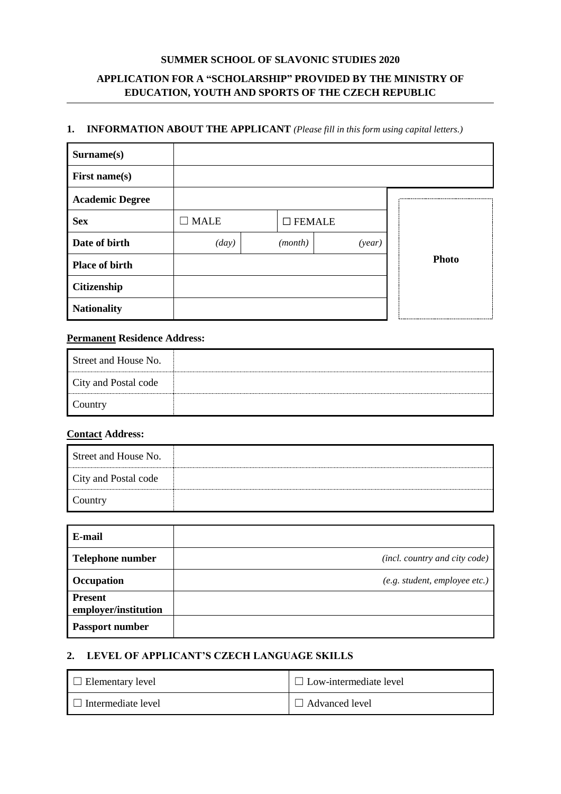### **SUMMER SCHOOL OF SLAVONIC STUDIES 2020**

## **APPLICATION FOR A "SCHOLARSHIP" PROVIDED BY THE MINISTRY OF EDUCATION, YOUTH AND SPORTS OF THE CZECH REPUBLIC**

#### **1. INFORMATION ABOUT THE APPLICANT** *(Please fill in this form using capital letters.)*

| Surname(s)             |                 |                  |        |              |
|------------------------|-----------------|------------------|--------|--------------|
| <b>First name(s)</b>   |                 |                  |        |              |
| <b>Academic Degree</b> |                 |                  |        |              |
| <b>Sex</b>             | $\square$ MALE  | $\square$ FEMALE |        |              |
| Date of birth          | $\frac{day}{)}$ | (month)          | (year) |              |
| <b>Place of birth</b>  |                 |                  |        | <b>Photo</b> |
| <b>Citizenship</b>     |                 |                  |        |              |
| <b>Nationality</b>     |                 |                  |        |              |

### **Permanent Residence Address:**

| Street and House No. |  |
|----------------------|--|
| City and Postal code |  |
| Country              |  |

#### **Contact Address:**

| Street and House No. |  |
|----------------------|--|
| City and Postal code |  |
| Country              |  |

| E-mail                                 |                               |
|----------------------------------------|-------------------------------|
| <b>Telephone number</b>                | (incl. country and city code) |
| Occupation                             | (e.g. student, employee etc.) |
| <b>Present</b><br>employer/institution |                               |
| <b>Passport number</b>                 |                               |

# **2. LEVEL OF APPLICANT'S CZECH LANGUAGE SKILLS**

| Elementary level   | $\Box$ Low-intermediate level |
|--------------------|-------------------------------|
| Intermediate level | $\Box$ Advanced level         |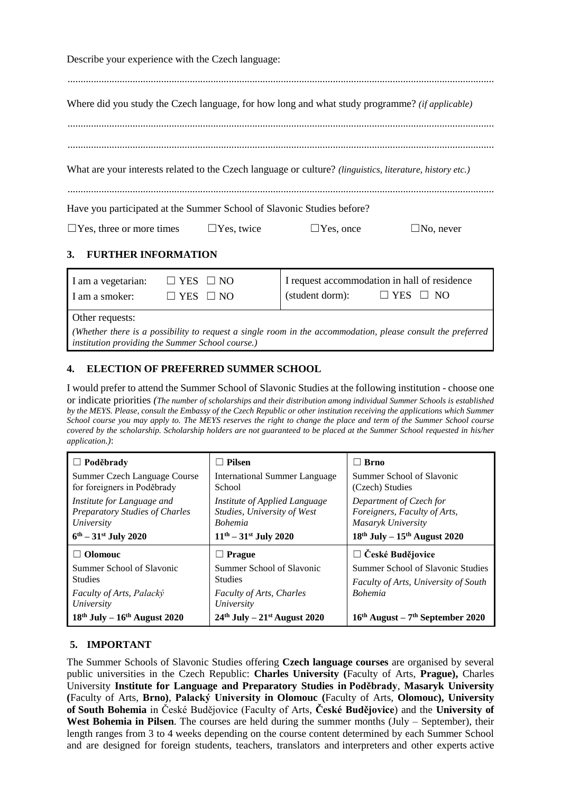Describe your experience with the Czech language: .................................................................................................................................................................... Where did you study the Czech language, for how long and what study programme? *(if applicable)* .................................................................................................................................................................... .................................................................................................................................................................... What are your interests related to the Czech language or culture? *(linguistics, literature, history etc.)* .................................................................................................................................................................... Have you participated at the Summer School of Slavonic Studies before? ☐Yes, three or more times ☐Yes, twice ☐Yes, once ☐No, never

# **3. FURTHER INFORMATION**

| I am a vegetarian: | $\Box$ YES $\Box$ NO |                 | I request accommodation in hall of residence |
|--------------------|----------------------|-----------------|----------------------------------------------|
| I am a smoker:     | $\Box$ YES $\Box$ NO | (student dorm): | $\Box$ YES $\Box$ NO                         |
| Other requests:    |                      |                 |                                              |

*(Whether there is a possibility to request a single room in the accommodation, please consult the preferred institution providing the Summer School course.)*

## **4. ELECTION OF PREFERRED SUMMER SCHOOL**

I would prefer to attend the Summer School of Slavonic Studies at the following institution - choose one or indicate priorities *(The number of scholarships and their distribution among individual Summer Schools is established by the MEYS. Please, consult the Embassy of the Czech Republic or other institution receiving the applications which Summer School course you may apply to. The MEYS reserves the right to change the place and term of the Summer School course covered by the scholarship. Scholarship holders are not guaranteed to be placed at the Summer School requested in his/her application.)*:

| $\Box$ Poděbrady                                                           | Pilsen                                                                         | <b>Brno</b><br>H                                                                 |  |
|----------------------------------------------------------------------------|--------------------------------------------------------------------------------|----------------------------------------------------------------------------------|--|
| Summer Czech Language Course<br>for foreigners in Poděbrady                | <b>International Summer Language</b><br>School                                 | Summer School of Slavonic<br>(Czech) Studies                                     |  |
| Institute for Language and<br>Preparatory Studies of Charles<br>University | Institute of Applied Language<br>Studies, University of West<br><b>Bohemia</b> | Department of Czech for<br>Foreigners, Faculty of Arts,<br>Masaryk University    |  |
| $6^{th} - 31^{st}$ July 2020                                               | $11^{th} - 31^{st}$ July 2020                                                  | $18th$ July – $15th$ August 2020                                                 |  |
| $\Box$ Olomouc                                                             | <b>Prague</b>                                                                  | $\Box$ České Budějovice                                                          |  |
| Summer School of Slavonic<br><b>Studies</b>                                | Summer School of Slavonic<br><b>Studies</b>                                    | Summer School of Slavonic Studies<br><b>Faculty of Arts, University of South</b> |  |
| Faculty of Arts, Palacký<br>University                                     | <b>Faculty of Arts, Charles</b><br>University                                  | <b>Bohemia</b>                                                                   |  |
| $18th$ July – $16th$ August 2020                                           | $24th$ July – $21st$ August 2020                                               | $16th$ August – 7 <sup>th</sup> September 2020                                   |  |

## **5. IMPORTANT**

The Summer Schools of Slavonic Studies offering **Czech language courses** are organised by several public universities in the Czech Republic: **Charles University (**Faculty of Arts, **Prague),** Charles University **Institute for Language and Preparatory Studies in Poděbrady**, **Masaryk University (**Faculty of Arts, **Brno)**, **Palacký University in Olomouc (**Faculty of Arts, **Olomouc), University of South Bohemia** in České Budějovice (Faculty of Arts, **České Budějovice**) and the **University of**  West Bohemia in Pilsen. The courses are held during the summer months (July – September), their length ranges from 3 to 4 weeks depending on the course content determined by each Summer School and are designed for foreign students, teachers, translators and interpreters and other experts active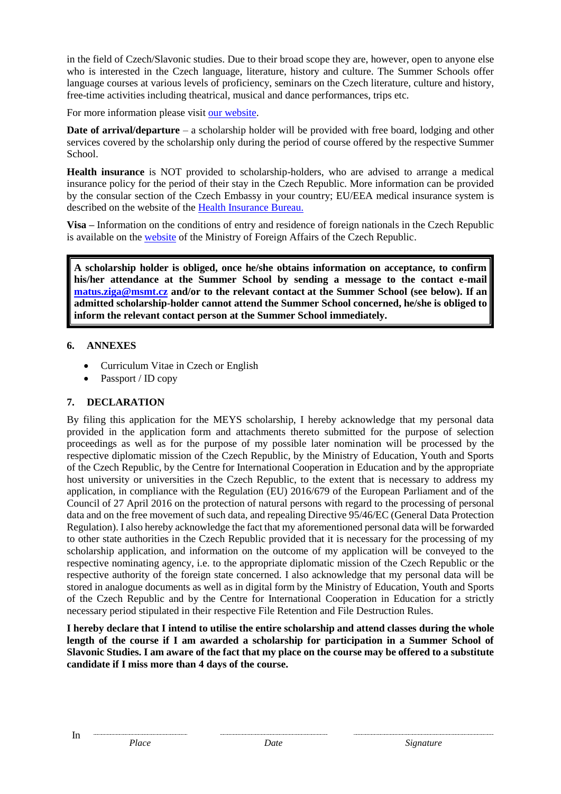in the field of Czech/Slavonic studies. Due to their broad scope they are, however, open to anyone else who is interested in the Czech language, literature, history and culture. The Summer Schools offer language courses at various levels of proficiency, seminars on the Czech literature, culture and history, free-time activities including theatrical, musical and dance performances, trips etc.

For more information please visit [our website.](http://www.msmt.cz/eu-and-international-affairs/summer-schools-of-slavonic-studies)

**Date of arrival/departure** – a scholarship holder will be provided with free board, lodging and other services covered by the scholarship only during the period of course offered by the respective Summer School.

**Health insurance** is NOT provided to scholarship-holders, who are advised to arrange a medical insurance policy for the period of their stay in the Czech Republic. More information can be provided by the consular section of the Czech Embassy in your country; EU/EEA medical insurance system is described on the website of the [Health Insurance Bureau.](http://www.kancelarzp.cz/index.php/en)

**Visa –** Information on the conditions of entry and residence of foreign nationals in the Czech Republic is available on the [website](https://www.mzv.cz/jnp/en/information_for_aliens/index.html) of the Ministry of Foreign Affairs of the Czech Republic.

**A scholarship holder is obliged, once he/she obtains information on acceptance, to confirm his/her attendance at the Summer School by sending a message to the contact e-mail [matus.ziga@msmt.cz](mailto:lucie.gregurkova@msmt.cz) and/or to the relevant contact at the Summer School (see below). If an admitted scholarship-holder cannot attend the Summer School concerned, he/she is obliged to inform the relevant contact person at the Summer School immediately.**

## **6. ANNEXES**

- Curriculum Vitae in Czech or English
- Passport / ID copy

## **7. DECLARATION**

By filing this application for the MEYS scholarship, I hereby acknowledge that my personal data provided in the application form and attachments thereto submitted for the purpose of selection proceedings as well as for the purpose of my possible later nomination will be processed by the respective diplomatic mission of the Czech Republic, by the Ministry of Education, Youth and Sports of the Czech Republic, by the Centre for International Cooperation in Education and by the appropriate host university or universities in the Czech Republic, to the extent that is necessary to address my application, in compliance with the Regulation (EU) 2016/679 of the European Parliament and of the Council of 27 April 2016 on the protection of natural persons with regard to the processing of personal data and on the free movement of such data, and repealing Directive 95/46/EC (General Data Protection Regulation). I also hereby acknowledge the fact that my aforementioned personal data will be forwarded to other state authorities in the Czech Republic provided that it is necessary for the processing of my scholarship application, and information on the outcome of my application will be conveyed to the respective nominating agency, i.e. to the appropriate diplomatic mission of the Czech Republic or the respective authority of the foreign state concerned. I also acknowledge that my personal data will be stored in analogue documents as well as in digital form by the Ministry of Education, Youth and Sports of the Czech Republic and by the Centre for International Cooperation in Education for a strictly necessary period stipulated in their respective File Retention and File Destruction Rules.

**I hereby declare that I intend to utilise the entire scholarship and attend classes during the whole length of the course if I am awarded a scholarship for participation in a Summer School of Slavonic Studies. I am aware of the fact that my place on the course may be offered to a substitute candidate if I miss more than 4 days of the course.**